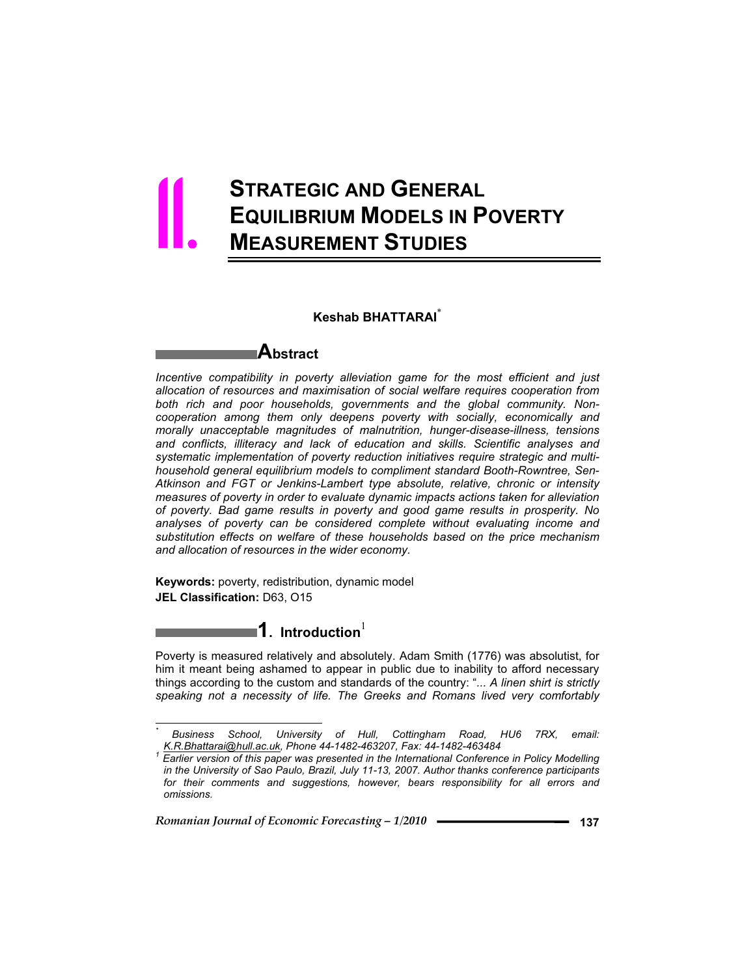# **STRATEGIC AND GENERAL EQUILIBRIUM MODELS IN POVERTY MEASUREMENT STUDIES** 11.

### **Keshab BHATTARAI**\*

# **Abstract**

*Incentive compatibility in poverty alleviation game for the most efficient and just allocation of resources and maximisation of social welfare requires cooperation from both rich and poor households, governments and the global community. Noncooperation among them only deepens poverty with socially, economically and morally unacceptable magnitudes of malnutrition, hunger-disease-illness, tensions and conflicts, illiteracy and lack of education and skills. Scientific analyses and systematic implementation of poverty reduction initiatives require strategic and multihousehold general equilibrium models to compliment standard Booth-Rowntree, Sen-Atkinson and FGT or Jenkins-Lambert type absolute, relative, chronic or intensity measures of poverty in order to evaluate dynamic impacts actions taken for alleviation of poverty. Bad game results in poverty and good game results in prosperity. No analyses of poverty can be considered complete without evaluating income and substitution effects on welfare of these households based on the price mechanism and allocation of resources in the wider economy.* 

**Keywords:** poverty, redistribution, dynamic model **JEL Classification:** D63, O15

 $\overline{a}$ *\**

# **1.** Introduction $^{1}$

Poverty is measured relatively and absolutely. Adam Smith (1776) was absolutist, for him it meant being ashamed to appear in public due to inability to afford necessary things according to the custom and standards of the country: "*... A linen shirt is strictly speaking not a necessity of life. The Greeks and Romans lived very comfortably* 

*Business School, University of Hull, Cottingham Road, HU6 7RX, email: K.R.Bhattarai@hull.ac.uk, Phone 44-1482-463207, Fax: 44-1482-463484 1*

*Earlier version of this paper was presented in the International Conference in Policy Modelling in the University of Sao Paulo, Brazil, July 11-13, 2007. Author thanks conference participants*  for their comments and suggestions, however, bears responsibility for all errors and *omissions.*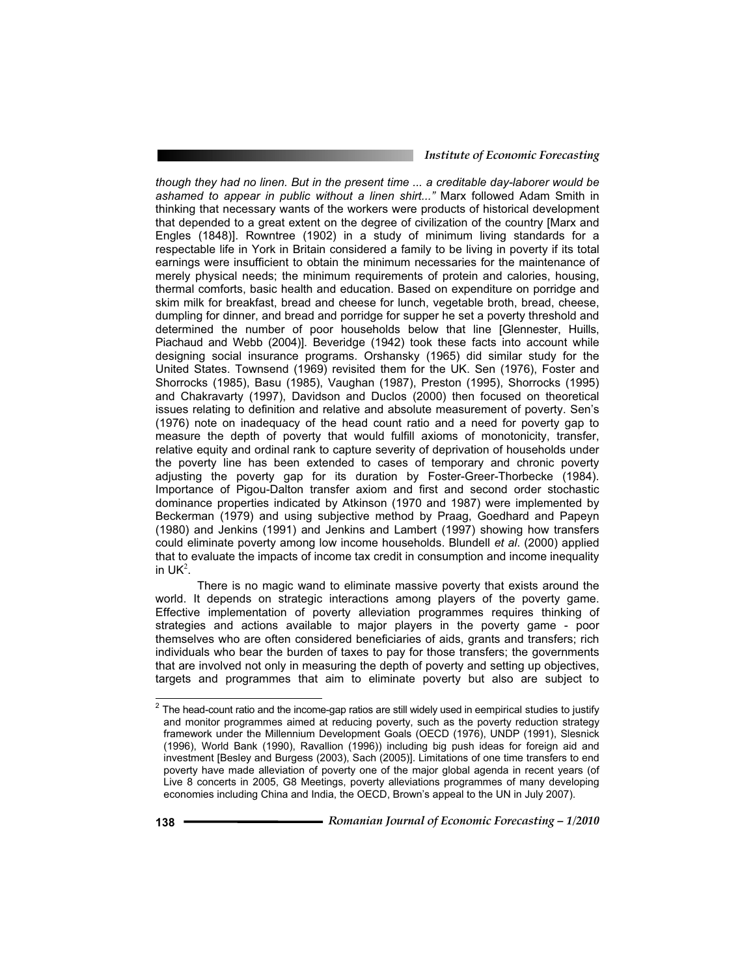#### *Institute of Economic Forecasting*

*though they had no linen. But in the present time ... a creditable day-laborer would be ashamed to appear in public without a linen shirt..."* Marx followed Adam Smith in thinking that necessary wants of the workers were products of historical development that depended to a great extent on the degree of civilization of the country [Marx and Engles (1848)]. Rowntree (1902) in a study of minimum living standards for a respectable life in York in Britain considered a family to be living in poverty if its total earnings were insufficient to obtain the minimum necessaries for the maintenance of merely physical needs; the minimum requirements of protein and calories, housing, thermal comforts, basic health and education. Based on expenditure on porridge and skim milk for breakfast, bread and cheese for lunch, vegetable broth, bread, cheese, dumpling for dinner, and bread and porridge for supper he set a poverty threshold and determined the number of poor households below that line [Glennester, Huills, Piachaud and Webb (2004)]. Beveridge (1942) took these facts into account while designing social insurance programs. Orshansky (1965) did similar study for the United States. Townsend (1969) revisited them for the UK. Sen (1976), Foster and Shorrocks (1985), Basu (1985), Vaughan (1987), Preston (1995), Shorrocks (1995) and Chakravarty (1997), Davidson and Duclos (2000) then focused on theoretical issues relating to definition and relative and absolute measurement of poverty. Sen's (1976) note on inadequacy of the head count ratio and a need for poverty gap to measure the depth of poverty that would fulfill axioms of monotonicity, transfer, relative equity and ordinal rank to capture severity of deprivation of households under the poverty line has been extended to cases of temporary and chronic poverty adjusting the poverty gap for its duration by Foster-Greer-Thorbecke (1984). Importance of Pigou-Dalton transfer axiom and first and second order stochastic dominance properties indicated by Atkinson (1970 and 1987) were implemented by Beckerman (1979) and using subjective method by Praag, Goedhard and Papeyn (1980) and Jenkins (1991) and Jenkins and Lambert (1997) showing how transfers could eliminate poverty among low income households. Blundell *et al*. (2000) applied that to evaluate the impacts of income tax credit in consumption and income inequality in  $UK<sup>2</sup>$ .

 There is no magic wand to eliminate massive poverty that exists around the world. It depends on strategic interactions among players of the poverty game. Effective implementation of poverty alleviation programmes requires thinking of strategies and actions available to major players in the poverty game - poor themselves who are often considered beneficiaries of aids, grants and transfers; rich individuals who bear the burden of taxes to pay for those transfers; the governments that are involved not only in measuring the depth of poverty and setting up objectives, targets and programmes that aim to eliminate poverty but also are subject to

 $\overline{a}$  The head-count ratio and the income-gap ratios are still widely used in eempirical studies to justify and monitor programmes aimed at reducing poverty, such as the poverty reduction strategy framework under the Millennium Development Goals (OECD (1976), UNDP (1991), Slesnick (1996), World Bank (1990), Ravallion (1996)) including big push ideas for foreign aid and investment [Besley and Burgess (2003), Sach (2005)]. Limitations of one time transfers to end poverty have made alleviation of poverty one of the major global agenda in recent years (of Live 8 concerts in 2005, G8 Meetings, poverty alleviations programmes of many developing economies including China and India, the OECD, Brown's appeal to the UN in July 2007).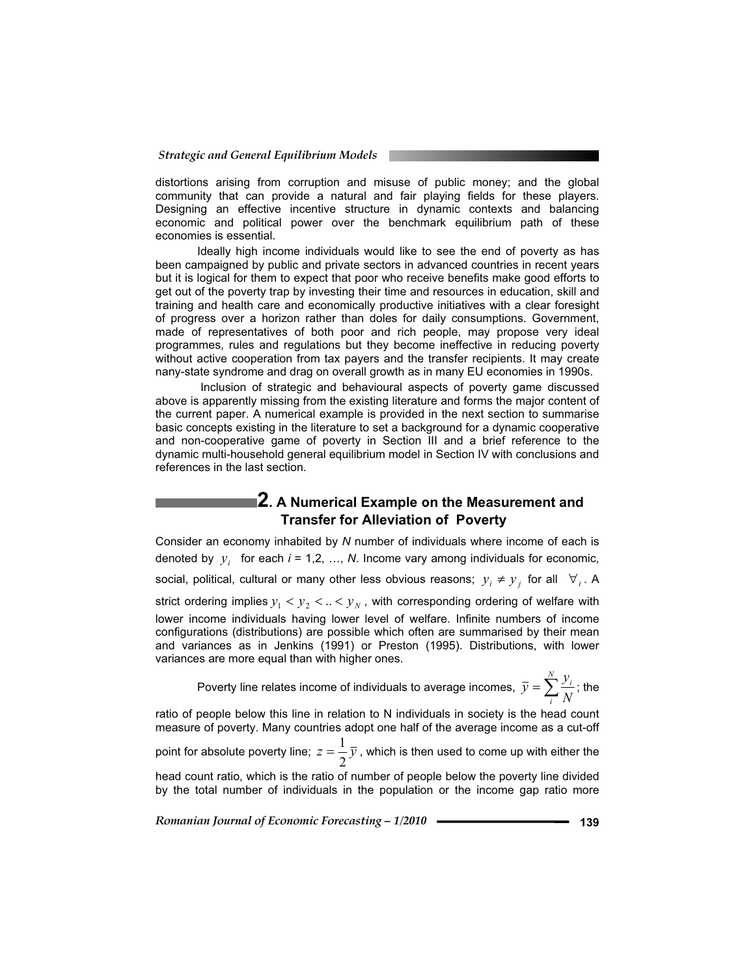distortions arising from corruption and misuse of public money; and the global community that can provide a natural and fair playing fields for these players. Designing an effective incentive structure in dynamic contexts and balancing economic and political power over the benchmark equilibrium path of these economies is essential.

 Ideally high income individuals would like to see the end of poverty as has been campaigned by public and private sectors in advanced countries in recent years but it is logical for them to expect that poor who receive benefits make good efforts to get out of the poverty trap by investing their time and resources in education, skill and training and health care and economically productive initiatives with a clear foresight of progress over a horizon rather than doles for daily consumptions. Government, made of representatives of both poor and rich people, may propose very ideal programmes, rules and regulations but they become ineffective in reducing poverty without active cooperation from tax payers and the transfer recipients. It may create nany-state syndrome and drag on overall growth as in many EU economies in 1990s.

 Inclusion of strategic and behavioural aspects of poverty game discussed above is apparently missing from the existing literature and forms the major content of the current paper. A numerical example is provided in the next section to summarise basic concepts existing in the literature to set a background for a dynamic cooperative and non-cooperative game of poverty in Section III and a brief reference to the dynamic multi-household general equilibrium model in Section IV with conclusions and references in the last section.

# **2. A Numerical Example on the Measurement and Transfer for Alleviation of Poverty**

Consider an economy inhabited by *N* number of individuals where income of each is denoted by  $y_i$  for each  $i = 1, 2, ..., N$ . Income vary among individuals for economic, social, political, cultural or many other less obvious reasons;  $y_i \neq y_j$  for all  $\forall i$ . A strict ordering implies  $y_1 < y_2 < ... < y_N$ , with corresponding ordering of welfare with lower income individuals having lower level of welfare. Infinite numbers of income configurations (distributions) are possible which often are summarised by their mean and variances as in Jenkins (1991) or Preston (1995). Distributions, with lower variances are more equal than with higher ones.

Poverty line relates income of individuals to average incomes,  $\bar{y} = \sum_{n=1}^{N} \bar{y}$ *i i N*  $\overline{y} = \sum_{i=1}^{N} \frac{y_i}{x_i}$ ; the

ratio of people below this line in relation to N individuals in society is the head count measure of poverty. Many countries adopt one half of the average income as a cut-off

point for absolute poverty line;  $z=\displaystyle\frac{1}{2} \, \overline{y}$  , which is then used to come up with either the

head count ratio, which is the ratio of number of people below the poverty line divided by the total number of individuals in the population or the income gap ratio more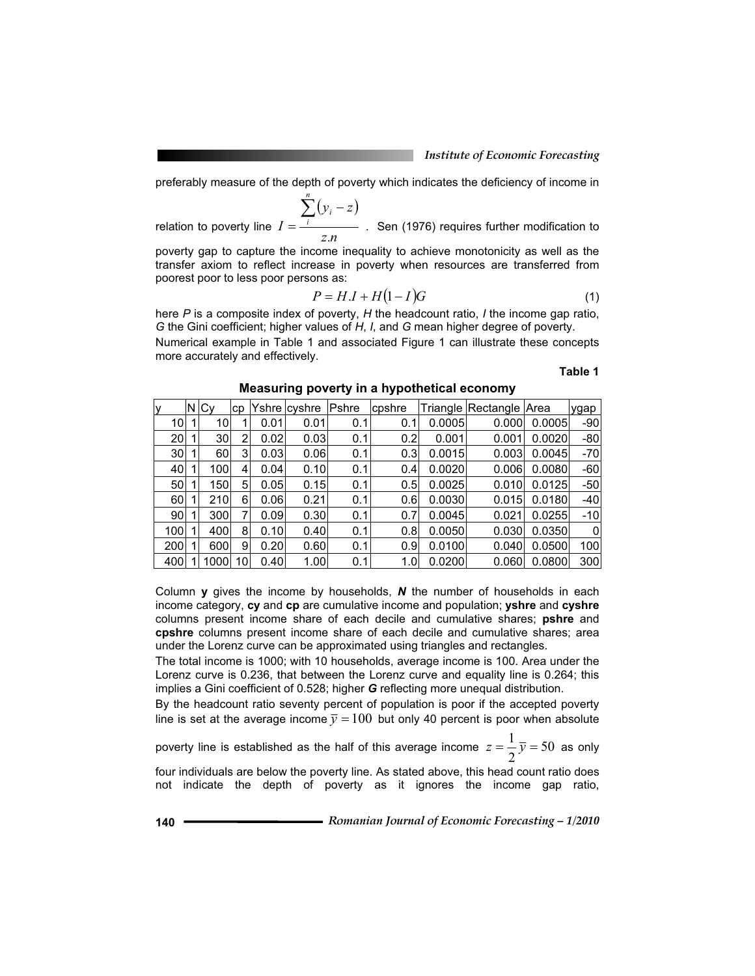preferably measure of the depth of poverty which indicates the deficiency of income in

*n*

relation to poverty line  $(y_i - z)$ *z n*  $y_i - z$ *I i i* .  $\sum(y_i =$   $\frac{1}{1}$  . Sen (1976) requires further modification to

poverty gap to capture the income inequality to achieve monotonicity as well as the transfer axiom to reflect increase in poverty when resources are transferred from poorest poor to less poor persons as:

$$
P = H \cdot I + H(1 - I)G \tag{1}
$$

here *P* is a composite index of poverty, *H* the headcount ratio, *I* the income gap ratio, *G* the Gini coefficient; higher values of *H*, *I*, and *G* mean higher degree of poverty.

Numerical example in Table 1 and associated Figure 1 can illustrate these concepts more accurately and effectively.

**Table 1** 

| lУ              | N | Cv   | cp |      | Yshre cvshre | Pshre | cpshre |        | Triangle Rectangle Area |        | ygap  |
|-----------------|---|------|----|------|--------------|-------|--------|--------|-------------------------|--------|-------|
| 101             |   | 10   |    | 0.01 | 0.01         | 0.1   | 0.1    | 0.0005 | 0.000                   | 0.0005 | $-90$ |
| 20              |   | 30   | 2  | 0.02 | 0.03         | 0.1   | 0.2    | 0.001  | 0.001                   | 0.0020 | $-80$ |
| 30 <sup>1</sup> |   | 60   | 3  | 0.03 | 0.06         | 0.1   | 0.3    | 0.0015 | 0.003                   | 0.0045 | $-70$ |
| 40              |   | 100  | 4  | 0.04 | 0.10         | 0.1   | 0.4    | 0.0020 | 0.006                   | 0.0080 | $-60$ |
| 50              |   | 150  | 5  | 0.05 | 0.15         | 0.1   | 0.5    | 0.0025 | 0.010                   | 0.0125 | $-50$ |
| 60              |   | 210  | 6  | 0.06 | 0.21         | 0.1   | 0.6    | 0.0030 | 0.015                   | 0.0180 | $-40$ |
| 90 <sub>1</sub> |   | 300  | 7  | 0.09 | 0.30         | 0.1   | 0.7    | 0.0045 | 0.021                   | 0.0255 | $-10$ |
| 100             |   | 400  | 8  | 0.10 | 0.40         | 0.1   | 0.8    | 0.0050 | 0.030                   | 0.0350 | 0     |
| 200             |   | 600  | 9  | 0.20 | 0.60         | 0.1   | 0.9    | 0.0100 | 0.040                   | 0.0500 | 100   |
| 400             |   | 1000 | 10 | 0.40 | 1.00         | 0.1   | 1.0    | 0.0200 | 0.060                   | 0.0800 | 300   |

**Measuring poverty in a hypothetical economy** 

Column **y** gives the income by households, *N* the number of households in each income category, **cy** and **cp** are cumulative income and population; **yshre** and **cyshre** columns present income share of each decile and cumulative shares; **pshre** and **cpshre** columns present income share of each decile and cumulative shares; area under the Lorenz curve can be approximated using triangles and rectangles.

The total income is 1000; with 10 households, average income is 100. Area under the Lorenz curve is 0.236, that between the Lorenz curve and equality line is 0.264; this implies a Gini coefficient of 0.528; higher *G* reflecting more unequal distribution.

By the headcount ratio seventy percent of population is poor if the accepted poverty line is set at the average income  $\bar{y} = 100$  but only 40 percent is poor when absolute

poverty line is established as the half of this average income  $z = \frac{1}{2} \overline{y} = 50$ 2  $z = \frac{1}{2}\overline{y} = 50$  as only four individuals are below the poverty line. As stated above, this head count ratio does

not indicate the depth of poverty as it ignores the income gap ratio,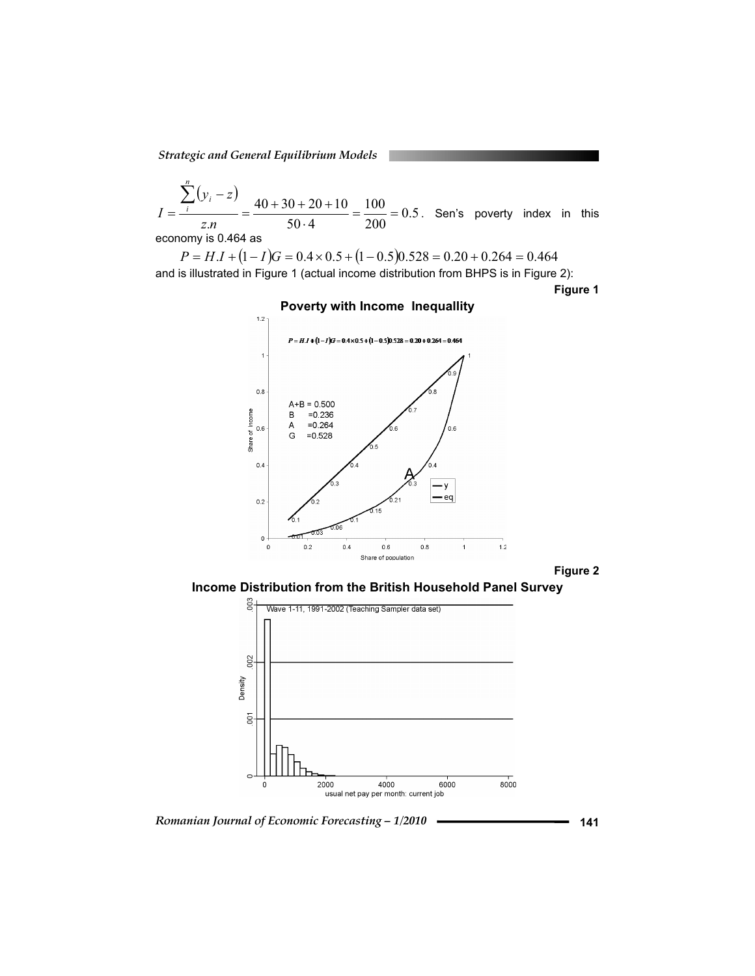*Strategic and General Equilibrium Models*

$$
I = \frac{\sum_{i}^{n} (y_i - z)}{z.n} = \frac{40 + 30 + 20 + 10}{50 \cdot 4} = \frac{100}{200} = 0.5
$$
. Sen's powerty index in this economy is 0.464 as

 $P = H.I + (1 - I)G = 0.4 \times 0.5 + (1 - 0.5)0.528 = 0.20 + 0.264 = 0.464$ and is illustrated in Figure 1 (actual income distribution from BHPS is in Figure 2):

**Figure 1** 



### **Poverty with Income Inequallity**

**Figure 2** 

**Income Distribution from the British Household Panel Survey** 



*Romanian Journal of Economic Forecasting – 1/2010* **141**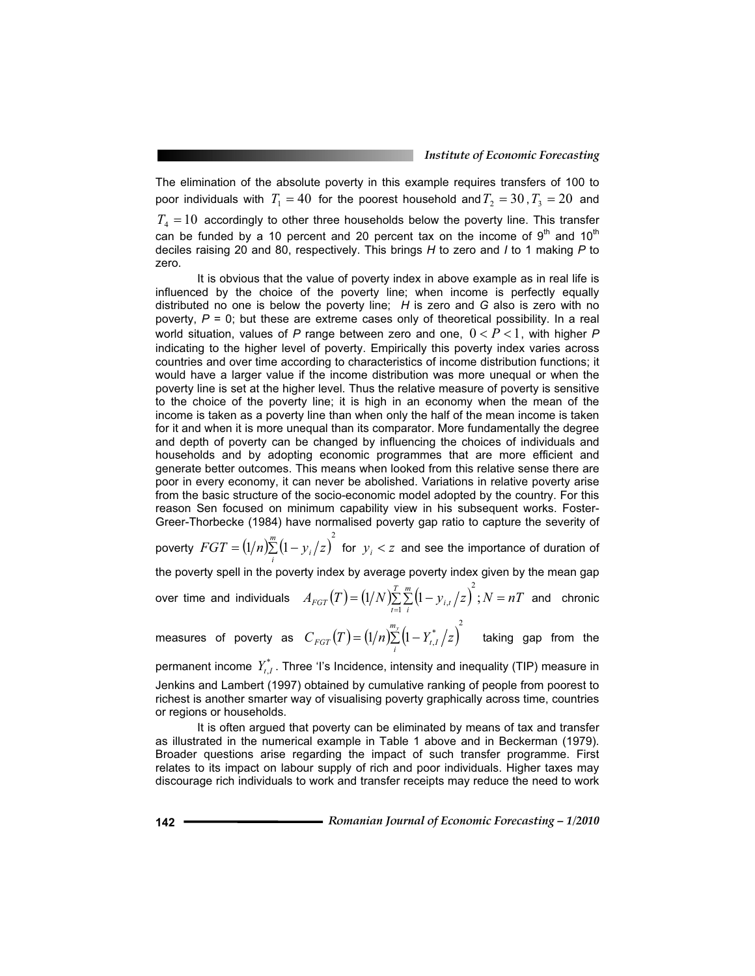The elimination of the absolute poverty in this example requires transfers of 100 to poor individuals with  $T_1 = 40$  for the poorest household and  $T_2 = 30$ ,  $T_3 = 20$  and  $T<sub>4</sub> = 10$  accordingly to other three households below the poverty line. This transfer can be funded by a 10 percent and 20 percent tax on the income of  $9<sup>th</sup>$  and 10<sup>th</sup> deciles raising 20 and 80, respectively. This brings *H* to zero and *I* to 1 making *P* to zero.

 It is obvious that the value of poverty index in above example as in real life is influenced by the choice of the poverty line; when income is perfectly equally distributed no one is below the poverty line; *H* is zero and *G* also is zero with no poverty,  $P = 0$ ; but these are extreme cases only of theoretical possibility. In a real world situation, values of P range between zero and one,  $0 < P < 1$ , with higher P indicating to the higher level of poverty. Empirically this poverty index varies across countries and over time according to characteristics of income distribution functions; it would have a larger value if the income distribution was more unequal or when the poverty line is set at the higher level. Thus the relative measure of poverty is sensitive to the choice of the poverty line; it is high in an economy when the mean of the income is taken as a poverty line than when only the half of the mean income is taken for it and when it is more unequal than its comparator. More fundamentally the degree and depth of poverty can be changed by influencing the choices of individuals and households and by adopting economic programmes that are more efficient and generate better outcomes. This means when looked from this relative sense there are poor in every economy, it can never be abolished. Variations in relative poverty arise from the basic structure of the socio-economic model adopted by the country. For this reason Sen focused on minimum capability view in his subsequent works. Foster-Greer-Thorbecke (1984) have normalised poverty gap ratio to capture the severity of

poverty  $FGT = (1/n) \sum_{i}^{m} (1 - y_i / z)^2$  for  $y_i < z$  and see the importance of duration of the poverty spell in the poverty index by average poverty index given by the mean gap over time and individuals  $A_{FGT}(T) = (1/N) \sum_{t=1}^{T} \sum_{i=1}^{m} (1 - y_{i,t}/z)^2$ ;  $N = nT$  $F_{GT}(T) = (1/N) \sum_{t=1}^{T} \sum_{i}^{m} (1 - y_{i,t}/z)^2; N =$ 2  $\sigma_{\mu\nu}(z)$  ;  $N=nT$  and chronic

 $m$ easures of poverty as  $C_{FGT}(T) = (1/n)^{\frac{m_y}{2}}_i \left(1 - Y^*_{t,I}/z\right)^2$  taking gap from the

permanent income  $Y_{t,I}^*$ . Three 'I's Incidence, intensity and inequality (TIP) measure in Jenkins and Lambert (1997) obtained by cumulative ranking of people from poorest to richest is another smarter way of visualising poverty graphically across time, countries or regions or households.

 It is often argued that poverty can be eliminated by means of tax and transfer as illustrated in the numerical example in Table 1 above and in Beckerman (1979). Broader questions arise regarding the impact of such transfer programme. First relates to its impact on labour supply of rich and poor individuals. Higher taxes may discourage rich individuals to work and transfer receipts may reduce the need to work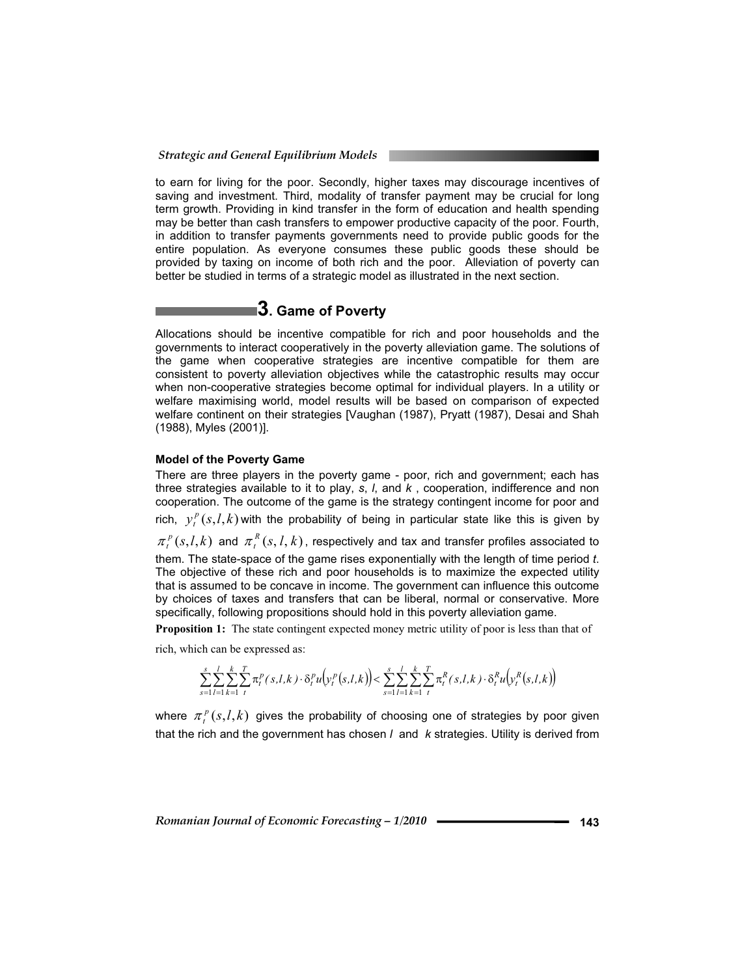to earn for living for the poor. Secondly, higher taxes may discourage incentives of saving and investment. Third, modality of transfer payment may be crucial for long term growth. Providing in kind transfer in the form of education and health spending may be better than cash transfers to empower productive capacity of the poor. Fourth, in addition to transfer payments governments need to provide public goods for the entire population. As everyone consumes these public goods these should be provided by taxing on income of both rich and the poor. Alleviation of poverty can better be studied in terms of a strategic model as illustrated in the next section.

# **3. Game of Poverty**

Allocations should be incentive compatible for rich and poor households and the governments to interact cooperatively in the poverty alleviation game. The solutions of the game when cooperative strategies are incentive compatible for them are consistent to poverty alleviation objectives while the catastrophic results may occur when non-cooperative strategies become optimal for individual players. In a utility or welfare maximising world, model results will be based on comparison of expected welfare continent on their strategies [Vaughan (1987), Pryatt (1987), Desai and Shah (1988), Myles (2001)].

#### **Model of the Poverty Game**

There are three players in the poverty game - poor, rich and government; each has three strategies available to it to play, *s*, *l*, and *k* , cooperation, indifference and non cooperation. The outcome of the game is the strategy contingent income for poor and rich,  $y_t^p(s,l,k)$  with the probability of being in particular state like this is given by  $\pi_t^p(s,l,k)$  and  $\pi_t^R(s,l,k)$ , respectively and tax and transfer profiles associated to them. The state-space of the game rises exponentially with the length of time period *t*. The objective of these rich and poor households is to maximize the expected utility

that is assumed to be concave in income. The government can influence this outcome by choices of taxes and transfers that can be liberal, normal or conservative. More specifically, following propositions should hold in this poverty alleviation game.

**Proposition 1:** The state contingent expected money metric utility of poor is less than that of

rich, which can be expressed as:

$$
\sum_{s=1}^{s} \sum_{l=1}^{l} \sum_{k=1}^{k} \sum_{t}^{T} \pi_{t}^{p}(s,l,k) \cdot \delta_{t}^{p} u(v_{t}^{p}(s,l,k)) < \sum_{s=1}^{s} \sum_{l=1}^{l} \sum_{k=1}^{k} \sum_{t}^{T} \pi_{t}^{R}(s,l,k) \cdot \delta_{t}^{R} u(v_{t}^{R}(s,l,k))
$$

where  $\pi_i^p(s, l, k)$  gives the probability of choosing one of strategies by poor given that the rich and the government has chosen *l* and *k* strategies. Utility is derived from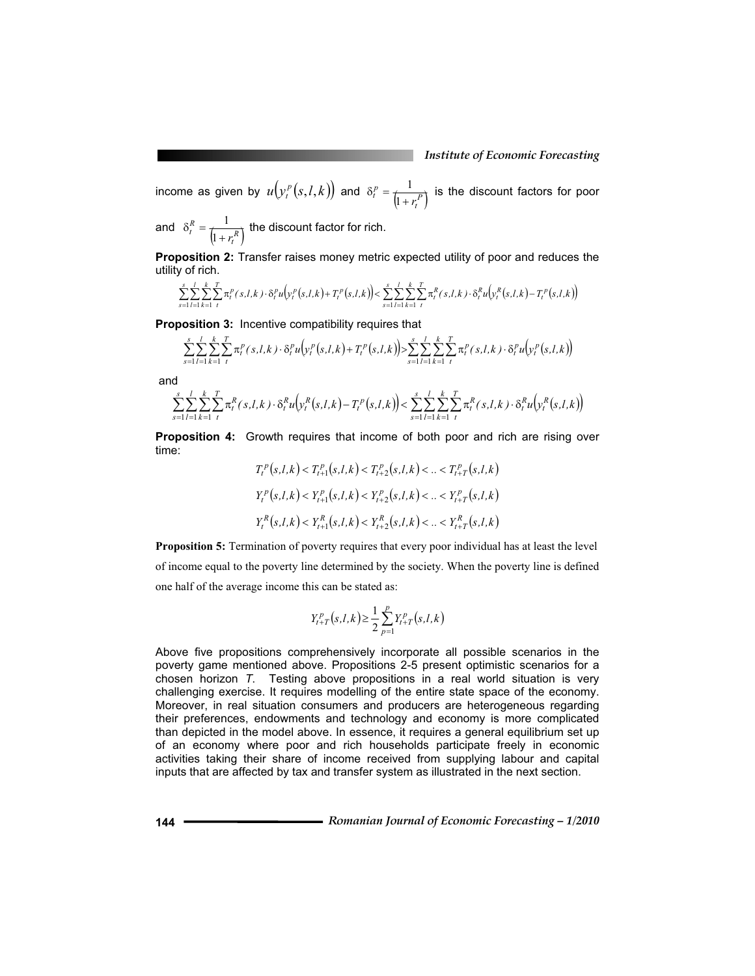income as given by  $u(y_t^p(s, l, k))$  and  $\delta_t^p = \frac{1}{\left(1 + r_t^P\right)}$  $\delta_t^p = \frac{1}{\left(1 + r_t^P\right)}$  is the discount factors for poor

and  $\delta_t^R = \frac{1}{\left(1 + r_t^R\right)}$  $\delta_t^R = \frac{1}{\left(1 + r_t^R\right)}$  the discount factor for rich.

**Proposition 2:** Transfer raises money metric expected utility of poor and reduces the utility of rich.

$$
\sum_{s=1}^{s} \sum_{l=1}^{l} \sum_{k=1}^{k} \sum_{t=1}^{T} \pi_{t}^{p}(s,l,k) \cdot \delta_{t}^{p} u(p_{t}^{p}(s,l,k) + T_{t}^{p}(s,l,k)) < \sum_{s=1}^{s} \sum_{l=1}^{l} \sum_{k=1}^{k} \sum_{t=1}^{T} \pi_{t}^{R}(s,l,k) \cdot \delta_{t}^{R} u(p_{t}^{R}(s,l,k) - T_{t}^{p}(s,l,k))
$$

**Proposition 3:** Incentive compatibility requires that

$$
\sum_{s=1}^{s} \sum_{l=1}^{l} \sum_{k=1}^{k} \sum_{t}^{T} \pi_{t}^{p}(s, l, k) \cdot \delta_{t}^{p} u(y_{t}^{p}(s, l, k) + T_{t}^{p}(s, l, k)) \ge \sum_{s=1}^{s} \sum_{l=1}^{l} \sum_{k=1}^{k} \pi_{t}^{p}(s, l, k) \cdot \delta_{t}^{p} u(y_{t}^{p}(s, l, k))
$$

and

$$
\sum_{s=1}^{s} \sum_{l=1}^{l} \sum_{k=1}^{k} \sum_{t}^{T} \pi_{t}^{R}(s, l, k) \cdot \delta_{t}^{R} u(\mathbf{y}_{t}^{R}(s, l, k) - T_{t}^{P}(s, l, k)) < \sum_{s=1}^{s} \sum_{l=1}^{l} \sum_{k=1}^{k} \sum_{t}^{T} \pi_{t}^{R}(s, l, k) \cdot \delta_{t}^{R} u(\mathbf{y}_{t}^{R}(s, l, k))
$$

**Proposition 4:** Growth requires that income of both poor and rich are rising over time:

$$
T_t^p(s, l, k) < T_{t+1}^p(s, l, k) < T_{t+2}^p(s, l, k) < \ldots < T_{t+T}^p(s, l, k)
$$
\n
$$
Y_t^p(s, l, k) < Y_{t+1}^p(s, l, k) < Y_{t+2}^p(s, l, k) < \ldots < Y_{t+T}^p(s, l, k)
$$
\n
$$
Y_t^R(s, l, k) < Y_{t+1}^R(s, l, k) < Y_{t+2}^R(s, l, k) < \ldots < Y_{t+T}^R(s, l, k)
$$

**Proposition 5:** Termination of poverty requires that every poor individual has at least the level of income equal to the poverty line determined by the society. When the poverty line is defined one half of the average income this can be stated as:

$$
Y_{t+T}^{p}(s,l,k) \geq \frac{1}{2} \sum_{p=1}^{p} Y_{t+T}^{p}(s,l,k)
$$

Above five propositions comprehensively incorporate all possible scenarios in the poverty game mentioned above. Propositions 2-5 present optimistic scenarios for a chosen horizon *T*. Testing above propositions in a real world situation is very challenging exercise. It requires modelling of the entire state space of the economy. Moreover, in real situation consumers and producers are heterogeneous regarding their preferences, endowments and technology and economy is more complicated than depicted in the model above. In essence, it requires a general equilibrium set up of an economy where poor and rich households participate freely in economic activities taking their share of income received from supplying labour and capital inputs that are affected by tax and transfer system as illustrated in the next section.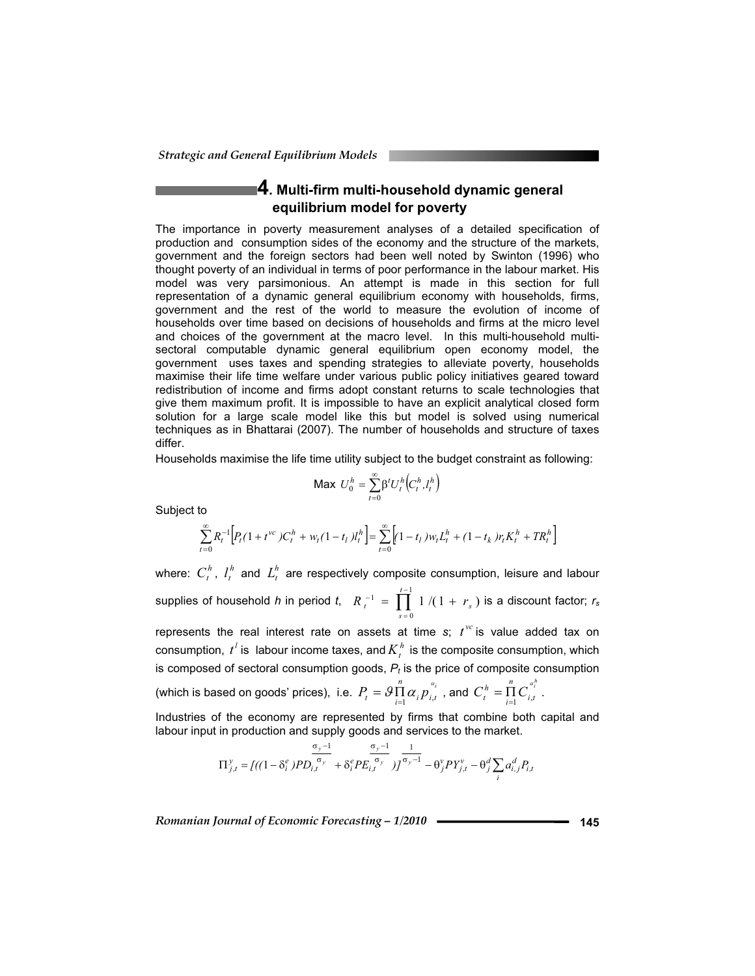# **4. Multi-firm multi-household dynamic general equilibrium model for poverty**

The importance in poverty measurement analyses of a detailed specification of production and consumption sides of the economy and the structure of the markets, government and the foreign sectors had been well noted by Swinton (1996) who thought poverty of an individual in terms of poor performance in the labour market. His model was very parsimonious. An attempt is made in this section for full representation of a dynamic general equilibrium economy with households, firms, government and the rest of the world to measure the evolution of income of households over time based on decisions of households and firms at the micro level and choices of the government at the macro level. In this multi-household multisectoral computable dynamic general equilibrium open economy model, the government uses taxes and spending strategies to alleviate poverty, households maximise their life time welfare under various public policy initiatives geared toward redistribution of income and firms adopt constant returns to scale technologies that give them maximum profit. It is impossible to have an explicit analytical closed form solution for a large scale model like this but model is solved using numerical techniques as in Bhattarai (2007). The number of households and structure of taxes differ.

Households maximise the life time utility subject to the budget constraint as following:

$$
\mathsf{Max}\ U_0^h = \sum_{t=0}^{\infty} \beta^t U_t^h \big( C_t^h, I_t^h \big)
$$

Subject to

$$
\sum_{t=0}^{\infty} R_t^{-1} \Big[ P_t (1+t^{vc}) C_t^h + w_t (1-t_l) l_t^h \Big] = \sum_{t=0}^{\infty} \Big[ (1-t_l) w_t L_t^h + (1-t_k) r_t K_t^h + T R_t^h \Big]
$$

where:  $C_t^h$ ,  $l_t^h$  and  $L_t^h$  are respectively composite consumption, leisure and labour supplies of household *h* in period *t*,  $R_{t}^{-1} = \prod_{i=1}^{t-1}$ =  $I^{-1} = \prod_{i=1}^{t-1} 1/(1 +$ 0  $f' = \prod^{t-1} 1/(1 + r_s)$  $R_{t}^{-1} = \prod_{s=0}^{n} 1/(1 + r_s)$  is a discount factor;  $r_s$ represents the real interest rate on assets at time  $s$ ;  $t^{vc}$  is value added tax on consumption,  $t^l$  is labour income taxes, and  $K^h_t$  is the composite consumption, which is composed of sectoral consumption goods,  $P_t$  is the price of composite consumption

(which is based on goods' prices), i.e.  $P_{t} = \mathcal{G} \prod_{i=1}^{n} \alpha_{i} p_{i,t}^{a_{i}}$  $P_t = \mathcal{G} \prod_{i=1}^n \alpha_i p_{i,t}^{a_i}$  , and  $C_t^h = \prod_{i=1}^n C_{i,t}^{a_i^h}$ *i t n*  $C_t^h = \prod_{i=1}^n C_{i,t}^{a_i}$ .

Industries of the economy are represented by firms that combine both capital and labour input in production and supply goods and services to the market.

$$
\Pi_{j,t}^{y} = \left[ ((1 - \delta_i^e) P D_{i,t}^{\sigma_y - 1} + \delta_i^e P E_{i,t}^{\sigma_y}) \right]_{j}^{\sigma_y - 1} - \theta_j^v P Y_{j,t}^v - \theta_j^d \sum_i a_{i,j}^d P_{i,t}
$$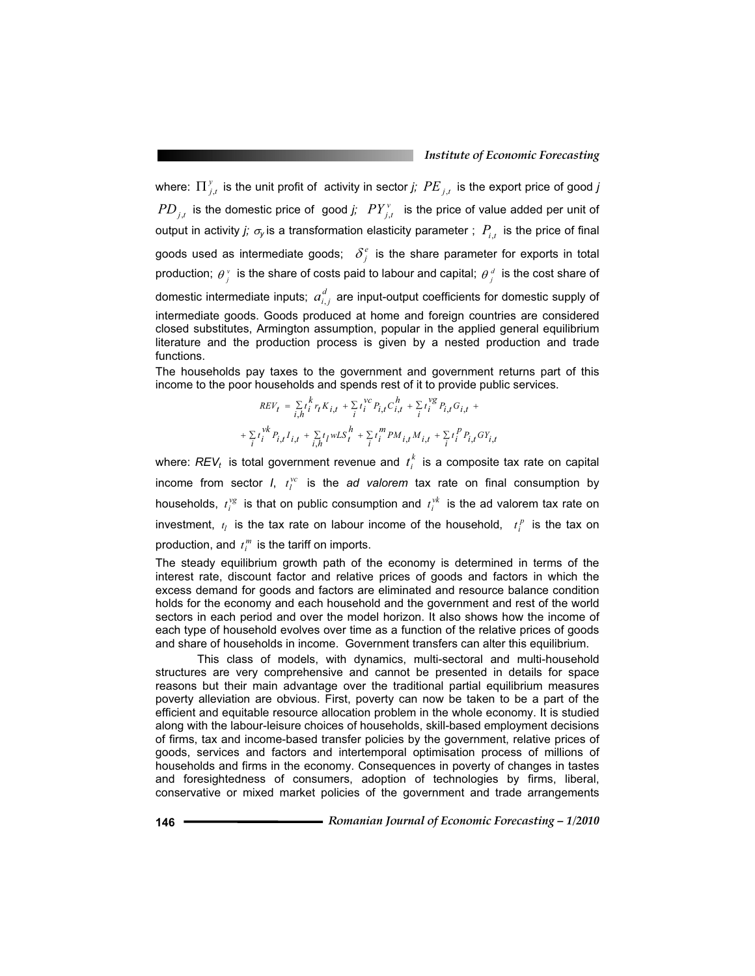where:  $\prod_{j,t}^{y}$  is the unit profit of activity in sector *j;*  $PE$  *j*,*t* is the export price of good *j*  $PD_{i,t}$  is the domestic price of good *j;*  $PY_{i,t}^v$  is the price of value added per unit of output in activity *j;*  $\sigma_{\rm y}$  is a transformation elasticity parameter ;  $P_{i,t}$  is the price of final goods used as intermediate goods;  $\delta_i^e$  is the share parameter for exports in total production;  $\theta_i^v$  is the share of costs paid to labour and capital;  $\theta_i^d$  is the cost share of domestic intermediate inputs;  $a_{i,j}^d$  are input-output coefficients for domestic supply of intermediate goods. Goods produced at home and foreign countries are considered closed substitutes, Armington assumption, popular in the applied general equilibrium literature and the production process is given by a nested production and trade functions.

The households pay taxes to the government and government returns part of this income to the poor households and spends rest of it to provide public services.

$$
REV_t = \sum_{i,h} t_i^k r_t K_{i,t} + \sum_i t_i^{VC} P_{i,t} C_{i,t}^h + \sum_i t_i^{vg} P_{i,t} G_{i,t} +
$$
  
+ 
$$
\sum_i t_i^{vk} P_{i,t} I_{i,t} + \sum_{i,h} t_i w L S_t^h + \sum_i t_i^m PM_{i,t} M_{i,t} + \sum_i t_i^p P_{i,t} G Y_{i,t}
$$

where:  $REV_t$  is total government revenue and  $t_i^k$  is a composite tax rate on capital income from sector *I*,  $t_l^{vc}$  is the *ad valorem* tax rate on final consumption by households,  $t_i^{vg}$  is that on public consumption and  $t_i^{vk}$  is the ad valorem tax rate on investment,  $t_l$  is the tax rate on labour income of the household,  $t_l^p$  is the tax on production, and  $t_i^m$  is the tariff on imports.

The steady equilibrium growth path of the economy is determined in terms of the interest rate, discount factor and relative prices of goods and factors in which the excess demand for goods and factors are eliminated and resource balance condition holds for the economy and each household and the government and rest of the world sectors in each period and over the model horizon. It also shows how the income of each type of household evolves over time as a function of the relative prices of goods and share of households in income. Government transfers can alter this equilibrium.

 This class of models, with dynamics, multi-sectoral and multi-household structures are very comprehensive and cannot be presented in details for space reasons but their main advantage over the traditional partial equilibrium measures poverty alleviation are obvious. First, poverty can now be taken to be a part of the efficient and equitable resource allocation problem in the whole economy. It is studied along with the labour-leisure choices of households, skill-based employment decisions of firms, tax and income-based transfer policies by the government, relative prices of goods, services and factors and intertemporal optimisation process of millions of households and firms in the economy. Consequences in poverty of changes in tastes and foresightedness of consumers, adoption of technologies by firms, liberal, conservative or mixed market policies of the government and trade arrangements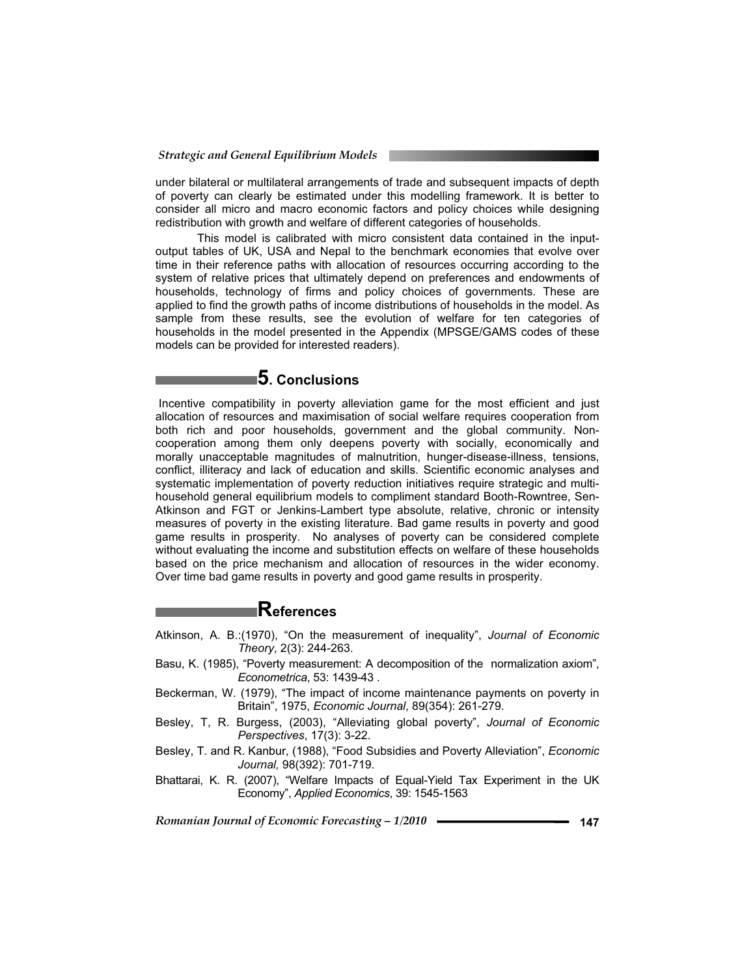under bilateral or multilateral arrangements of trade and subsequent impacts of depth of poverty can clearly be estimated under this modelling framework. It is better to consider all micro and macro economic factors and policy choices while designing redistribution with growth and welfare of different categories of households.

This model is calibrated with micro consistent data contained in the inputoutput tables of UK, USA and Nepal to the benchmark economies that evolve over time in their reference paths with allocation of resources occurring according to the system of relative prices that ultimately depend on preferences and endowments of households, technology of firms and policy choices of governments. These are applied to find the growth paths of income distributions of households in the model. As sample from these results, see the evolution of welfare for ten categories of households in the model presented in the Appendix (MPSGE/GAMS codes of these models can be provided for interested readers).

# **5. Conclusions**

 Incentive compatibility in poverty alleviation game for the most efficient and just allocation of resources and maximisation of social welfare requires cooperation from both rich and poor households, government and the global community. Noncooperation among them only deepens poverty with socially, economically and morally unacceptable magnitudes of malnutrition, hunger-disease-illness, tensions, conflict, illiteracy and lack of education and skills. Scientific economic analyses and systematic implementation of poverty reduction initiatives require strategic and multihousehold general equilibrium models to compliment standard Booth-Rowntree, Sen-Atkinson and FGT or Jenkins-Lambert type absolute, relative, chronic or intensity measures of poverty in the existing literature. Bad game results in poverty and good game results in prosperity. No analyses of poverty can be considered complete without evaluating the income and substitution effects on welfare of these households based on the price mechanism and allocation of resources in the wider economy. Over time bad game results in poverty and good game results in prosperity.

### **References**

- Atkinson, A. B.:(1970), "On the measurement of inequality", *Journal of Economic Theory*, 2(3): 244-263.
- Basu, K. (1985), "Poverty measurement: A decomposition of the normalization axiom", *Econometrica*, 53: 1439-43 .
- Beckerman, W. (1979), "The impact of income maintenance payments on poverty in Britain", 1975, *Economic Journal*, 89(354): 261-279.
- Besley, T, R. Burgess, (2003), "Alleviating global poverty", *Journal of Economic Perspectives*, 17(3): 3-22.
- Besley, T. and R. Kanbur, (1988), "Food Subsidies and Poverty Alleviation", *Economic Journal,* 98(392): 701-719.
- Bhattarai, K. R. (2007), "Welfare Impacts of Equal-Yield Tax Experiment in the UK Economy", *Applied Economics*, 39: 1545-1563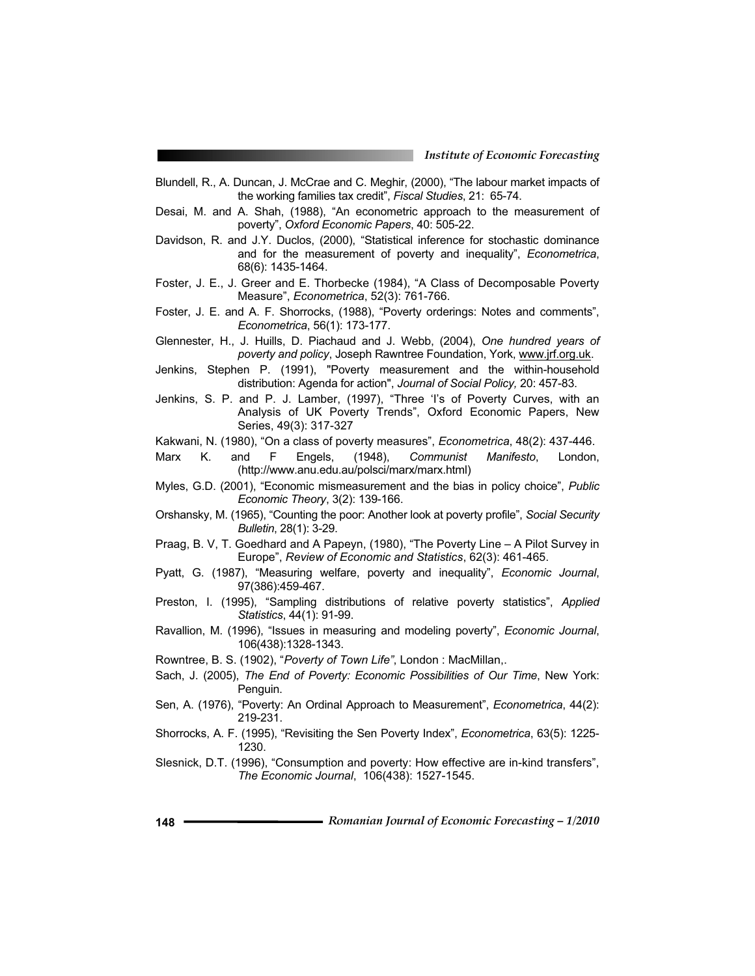- Blundell, R., A. Duncan, J. McCrae and C. Meghir, (2000), "The labour market impacts of the working families tax credit", *Fiscal Studies*, 21: 65-74.
- Desai, M. and A. Shah, (1988), "An econometric approach to the measurement of poverty", *Oxford Economic Papers*, 40: 505-22.
- Davidson, R. and J.Y. Duclos, (2000), "Statistical inference for stochastic dominance and for the measurement of poverty and inequality", *Econometrica*, 68(6): 1435-1464.
- Foster, J. E., J. Greer and E. Thorbecke (1984), "A Class of Decomposable Poverty Measure", *Econometrica*, 52(3): 761-766.
- Foster, J. E. and A. F. Shorrocks, (1988), "Poverty orderings: Notes and comments", *Econometrica*, 56(1): 173-177.
- Glennester, H., J. Huills, D. Piachaud and J. Webb, (2004), *One hundred years of poverty and policy*, Joseph Rawntree Foundation, York, www.jrf.org.uk.
- Jenkins, Stephen P. (1991), "Poverty measurement and the within-household distribution: Agenda for action", *Journal of Social Policy,* 20: 457-83.
- Jenkins, S. P. and P. J. Lamber, (1997), "Three 'I's of Poverty Curves, with an Analysis of UK Poverty Trends", Oxford Economic Papers, New Series, 49(3): 317-327
- Kakwani, N. (1980), "On a class of poverty measures", *Econometrica*, 48(2): 437-446.
- Marx K. and F Engels, (1948), *Communist Manifesto*, London, (http://www.anu.edu.au/polsci/marx/marx.html)
- Myles, G.D. (2001), "Economic mismeasurement and the bias in policy choice", *Public Economic Theory*, 3(2): 139-166.
- Orshansky, M. (1965), "Counting the poor: Another look at poverty profile", *Social Security Bulletin*, 28(1): 3-29.
- Praag, B. V, T. Goedhard and A Papeyn, (1980), "The Poverty Line A Pilot Survey in Europe", *Review of Economic and Statistics*, 62(3): 461-465.
- Pyatt, G. (1987), "Measuring welfare, poverty and inequality", *Economic Journal*, 97(386):459-467.
- Preston, I. (1995), "Sampling distributions of relative poverty statistics", *Applied Statistics*, 44(1): 91-99.
- Ravallion, M. (1996), "Issues in measuring and modeling poverty", *Economic Journal*, 106(438):1328-1343.
- Rowntree, B. S. (1902), "*Poverty of Town Life"*, London : MacMillan,.
- Sach, J. (2005), *The End of Poverty: Economic Possibilities of Our Time*, New York: Penguin.
- Sen, A. (1976), "Poverty: An Ordinal Approach to Measurement", *Econometrica*, 44(2): 219-231.
- Shorrocks, A. F. (1995), "Revisiting the Sen Poverty Index", *Econometrica*, 63(5): 1225- 1230.
- Slesnick, D.T. (1996), "Consumption and poverty: How effective are in-kind transfers", *The Economic Journal*, 106(438): 1527-1545.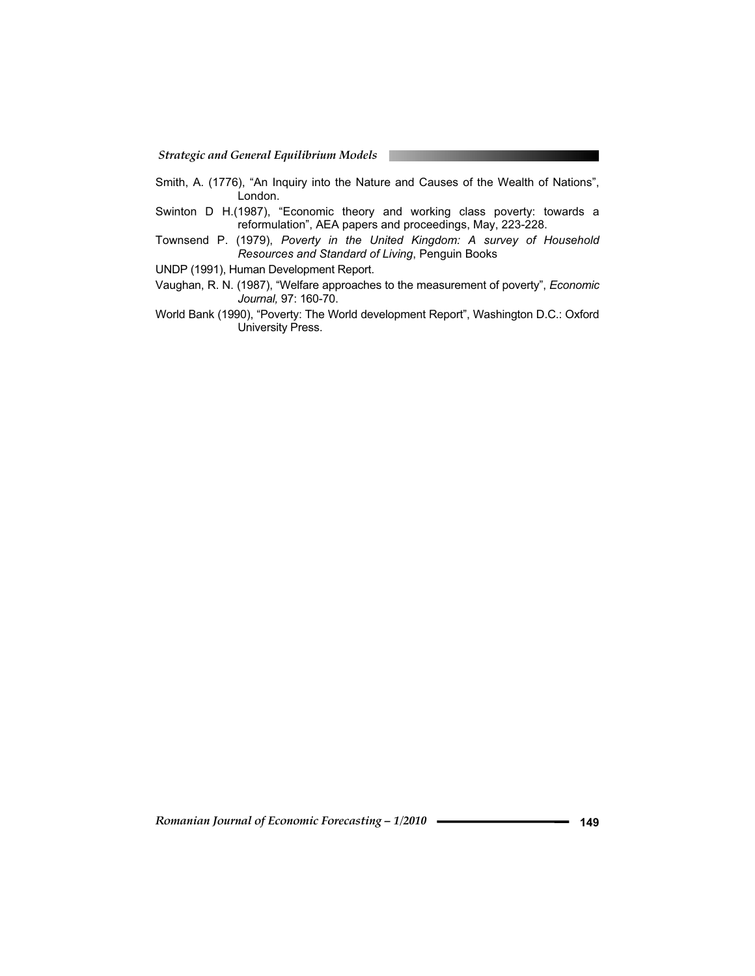*Strategic and General Equilibrium Models*

- Smith, A. (1776), "An Inquiry into the Nature and Causes of the Wealth of Nations", London.
- Swinton D H.(1987), "Economic theory and working class poverty: towards a reformulation", AEA papers and proceedings, May, 223-228.
- Townsend P. (1979), *Poverty in the United Kingdom: A survey of Household Resources and Standard of Living*, Penguin Books
- UNDP (1991), Human Development Report.
- Vaughan, R. N. (1987), "Welfare approaches to the measurement of poverty", *Economic Journal,* 97: 160-70.
- World Bank (1990), "Poverty: The World development Report", Washington D.C.: Oxford University Press.